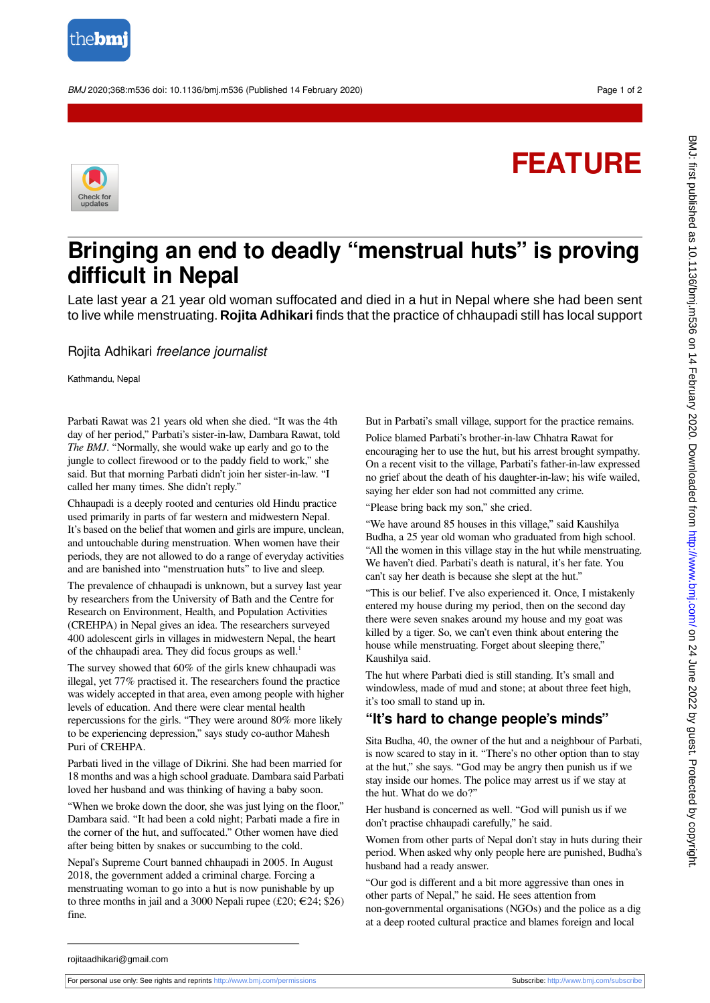

BMJ 2020;368:m536 doi: 10.1136/bmj.m536 (Published 14 February 2020) example to the example of 2

# **FEATURE**



## **Bringing an end to deadly "menstrual huts" is proving difficult in Nepal**

Late last year a 21 year old woman suffocated and died in a hut in Nepal where she had been sent to live while menstruating. **Rojita Adhikari** finds that the practice of chhaupadi still has local support

Rojita Adhikari freelance journalist

Kathmandu, Nepal

Parbati Rawat was 21 years old when she died. "It was the 4th day of her period," Parbati's sister-in-law, Dambara Rawat, told *The BMJ*. "Normally, she would wake up early and go to the jungle to collect firewood or to the paddy field to work," she said. But that morning Parbati didn't join her sister-in-law. "I called her many times. She didn't reply."

Chhaupadi is a deeply rooted and centuries old Hindu practice used primarily in parts of far western and midwestern Nepal. It's based on the belief that women and girls are impure, unclean, and untouchable during menstruation. When women have their periods, they are not allowed to do a range of everyday activities and are banished into "menstruation huts" to live and sleep.

The prevalence of chhaupadi is unknown, but a survey last year by researchers from the University of Bath and the Centre for Research on Environment, Health, and Population Activities (CREHPA) in Nepal gives an idea. The researchers surveyed 400 adolescent girls in villages in midwestern Nepal, the heart of the chhaupadi area. They did focus groups as well.<sup>1</sup>

The survey showed that 60% of the girls knew chhaupadi was illegal, yet 77% practised it. The researchers found the practice was widely accepted in that area, even among people with higher levels of education. And there were clear mental health repercussions for the girls. "They were around 80% more likely to be experiencing depression," says study co-author Mahesh Puri of CREHPA.

Parbati lived in the village of Dikrini. She had been married for 18 months and was a high school graduate. Dambara said Parbati loved her husband and was thinking of having a baby soon.

"When we broke down the door, she was just lying on the floor," Dambara said. "It had been a cold night; Parbati made a fire in the corner of the hut, and suffocated." Other women have died after being bitten by snakes or succumbing to the cold.

Nepal's Supreme Court banned chhaupadi in 2005. In August 2018, the government added a criminal charge. Forcing a menstruating woman to go into a hut is now punishable by up to three months in jail and a 3000 Nepali rupee (£20;  $\in$  24; \$26) fine.

But in Parbati's small village, support for the practice remains.

Police blamed Parbati's brother-in-law Chhatra Rawat for encouraging her to use the hut, but his arrest brought sympathy. On a recent visit to the village, Parbati's father-in-law expressed no grief about the death of his daughter-in-law; his wife wailed, saying her elder son had not committed any crime.

"Please bring back my son," she cried.

"We have around 85 houses in this village," said Kaushilya Budha, a 25 year old woman who graduated from high school. "All the women in this village stay in the hut while menstruating. We haven't died. Parbati's death is natural, it's her fate. You can't say her death is because she slept at the hut."

"This is our belief. I've also experienced it. Once, I mistakenly entered my house during my period, then on the second day there were seven snakes around my house and my goat was killed by a tiger. So, we can't even think about entering the house while menstruating. Forget about sleeping there," Kaushilya said.

The hut where Parbati died is still standing. It's small and windowless, made of mud and stone; at about three feet high, it's too small to stand up in.

### **"It's hard to change people's minds"**

Sita Budha, 40, the owner of the hut and a neighbour of Parbati, is now scared to stay in it. "There's no other option than to stay at the hut," she says. "God may be angry then punish us if we stay inside our homes. The police may arrest us if we stay at the hut. What do we do?"

Her husband is concerned as well. "God will punish us if we don't practise chhaupadi carefully," he said.

Women from other parts of Nepal don't stay in huts during their period. When asked why only people here are punished, Budha's husband had a ready answer.

"Our god is different and a bit more aggressive than ones in other parts of Nepal," he said. He sees attention from non-governmental organisations (NGOs) and the police as a dig at a deep rooted cultural practice and blames foreign and local